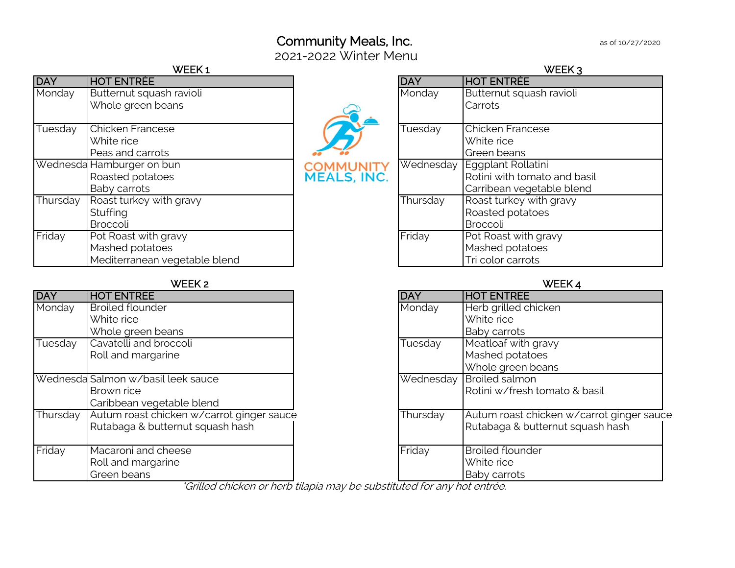# Community Meals, Inc. **Example 20 as of 10/27/2020**

2021-2022 Winter Menu

|            | WEEK1                         |                                        |            | <b>WEEK</b>                  |
|------------|-------------------------------|----------------------------------------|------------|------------------------------|
| <b>DAY</b> | <b>HOT ENTRÉE</b>             |                                        | <b>DAY</b> | <b>HOT ENTRÉE</b>            |
| Monday     | Butternut squash ravioli      |                                        | Monday     | Butternut squash ravioli     |
|            | Whole green beans             |                                        |            | Carrots                      |
| Tuesday    | Chicken Francese              |                                        | Tuesday    | <b>Chicken Francese</b>      |
|            | White rice                    |                                        |            | White rice                   |
|            | Peas and carrots              |                                        |            | Green beans                  |
|            | Wednesda Hamburger on bun     |                                        |            | Wednesday Eggplant Rollatini |
|            | Roasted potatoes              | <b>COMMUNITY</b><br><b>MEALS, INC.</b> |            | Rotini with tomato and b     |
|            | Baby carrots                  |                                        |            | Carribean vegetable ble      |
| Thursday   | Roast turkey with gravy       |                                        | Thursday   | Roast turkey with gravy      |
|            | Stuffing                      |                                        |            | Roasted potatoes             |
|            | <b>Broccoli</b>               |                                        |            | Broccoli                     |
| Friday     | Pot Roast with gravy          |                                        | Friday     | Pot Roast with gravy         |
|            | Mashed potatoes               |                                        |            | Mashed potatoes              |
|            | Mediterranean vegetable blend |                                        |            | Tri color carrots            |

#### WEEK 2 WEEK 4

| <b>DAY</b> | <b>HOT ENTREE</b>                         | <b>DAY</b> | <b>HOT ENTREE</b>        |
|------------|-------------------------------------------|------------|--------------------------|
| Monday     | <b>Broiled flounder</b>                   | Monday     | Herb grilled chicken     |
|            | White rice                                |            | White rice               |
|            | Whole green beans                         |            | Baby carrots             |
| Tuesday    | Cavatelli and broccoli                    | Tuesday    | Meatloaf with gravy      |
|            | Roll and margarine                        |            | Mashed potatoes          |
|            |                                           |            | Whole green beans        |
|            | Wednesda Salmon w/basil leek sauce        |            | Wednesday Broiled salmon |
|            | Brown rice                                |            | Rotini w/fresh toma      |
|            | Caribbean vegetable blend                 |            |                          |
| Thursday   | Autum roast chicken w/carrot ginger sauce | Thursday   | Autum roast chicker      |
|            | Rutabaga & butternut squash hash          |            | Rutabaga & butternu      |
|            |                                           |            |                          |
| Friday     | Macaroni and cheese                       | Friday     | <b>Broiled flounder</b>  |
|            | Roll and margarine                        |            | White rice               |
|            | Green beans                               |            | Baby carrots             |

| WEEK1                         |                                        |            | WEEK 3                       |
|-------------------------------|----------------------------------------|------------|------------------------------|
| <b>HOT ENTREE</b>             |                                        | <b>DAY</b> | <b>HOT ENTREE</b>            |
| Butternut squash ravioli      |                                        | Monday     | Butternut squash ravioli     |
| Whole green beans             |                                        |            | Carrots                      |
|                               |                                        |            |                              |
| Chicken Francese              |                                        | Tuesday    | <b>Chicken Francese</b>      |
| White rice                    |                                        |            | White rice                   |
| Peas and carrots              |                                        |            | Green beans                  |
| Hamburger on bun              | <b>COMMUNITY</b><br><b>MEALS, INC.</b> |            | Wednesday Eggplant Rollatini |
| Roasted potatoes              |                                        |            | Rotini with tomato and basil |
| Baby carrots                  |                                        |            | Carribean vegetable blend    |
| Roast turkey with gravy       |                                        | Thursday   | Roast turkey with gravy      |
| Stuffing                      |                                        |            | Roasted potatoes             |
| <b>Broccoli</b>               |                                        |            | Broccoli                     |
| Pot Roast with gravy          |                                        | Friday     | Pot Roast with gravy         |
| Mashed potatoes               |                                        |            | Mashed potatoes              |
| Mediterranean vegetable blend |                                        |            | Tri color carrots            |
|                               |                                        |            |                              |

| <b>DAY</b>                     | <b>HOT ENTREE</b>                         | <b>DAY</b> | <b>HOT ENTREE</b>                         |
|--------------------------------|-------------------------------------------|------------|-------------------------------------------|
| <b>Monday</b>                  | <b>Broiled flounder</b>                   | Monday     | Herb grilled chicken                      |
|                                | White rice                                |            | White rice                                |
|                                | Whole green beans                         |            | <b>Baby carrots</b>                       |
| $\overline{\mathsf{T}}$ uesday | Cavatelli and broccoli                    | Tuesday    | Meatloaf with gravy                       |
|                                | Roll and margarine                        |            | Mashed potatoes                           |
|                                |                                           |            | Whole green beans                         |
|                                | Wednesda Salmon w/basil leek sauce        |            | Wednesday Broiled salmon                  |
|                                | Brown rice                                |            | Rotini w/fresh tomato & basil             |
|                                | Caribbean vegetable blend                 |            |                                           |
| <b>Thursday</b>                | Autum roast chicken w/carrot ginger sauce | Thursday   | Autum roast chicken w/carrot ginger sauce |
|                                | Rutabaga & butternut squash hash          |            | Rutabaga & butternut squash hash          |
|                                |                                           |            |                                           |
| Friday                         | Macaroni and cheese                       | Friday     | <b>Broiled flounder</b>                   |
|                                | Roll and margarine                        |            | White rice                                |
|                                | Green beans                               |            | <b>Baby carrots</b>                       |

\*Grilled chicken or herb tilapia may be substituted for any hot entrée.